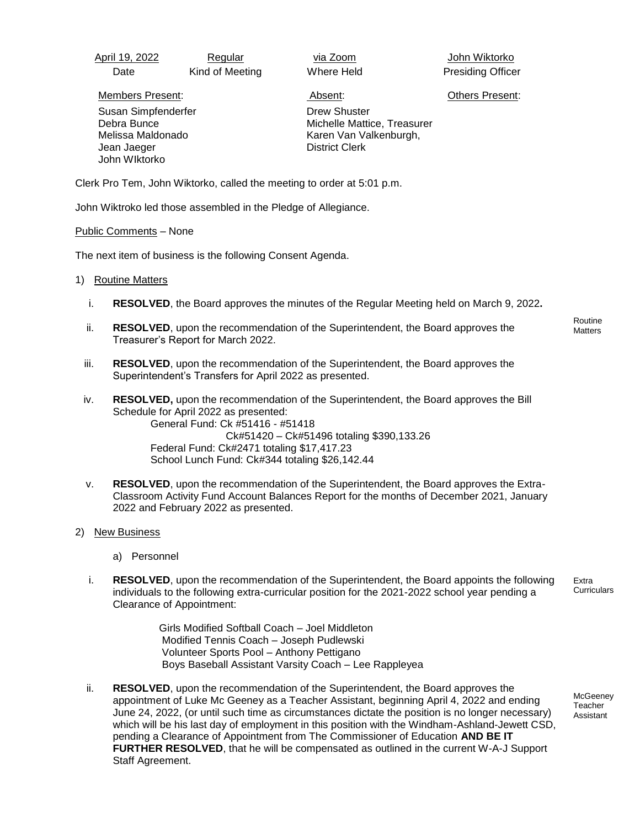| April 19, 2022 | Regular         | via Zoom   | John Wiktorko            |
|----------------|-----------------|------------|--------------------------|
| Date           | Kind of Meeting | Where Held | <b>Presiding Officer</b> |

Members Present: Absent: Others Present:

 Susan Simpfenderfer Debra Bunce Melissa Maldonado Jean Jaeger John WIktorko

Drew Shuster Michelle Mattice, Treasurer Karen Van Valkenburgh, District Clerk

Clerk Pro Tem, John Wiktorko, called the meeting to order at 5:01 p.m.

John Wiktroko led those assembled in the Pledge of Allegiance.

### Public Comments – None

The next item of business is the following Consent Agenda.

- 1) Routine Matters
	- i. **RESOLVED**, the Board approves the minutes of the Regular Meeting held on March 9, 2022**.**
	- ii. **RESOLVED**, upon the recommendation of the Superintendent, the Board approves the Treasurer's Report for March 2022.
	- iii. **RESOLVED**, upon the recommendation of the Superintendent, the Board approves the Superintendent's Transfers for April 2022 as presented.
- iv. **RESOLVED,** upon the recommendation of the Superintendent, the Board approves the Bill Schedule for April 2022 as presented: General Fund: Ck #51416 - #51418 Ck#51420 – Ck#51496 totaling \$390,133.26 Federal Fund: Ck#2471 totaling \$17,417.23 School Lunch Fund: Ck#344 totaling \$26,142.44
- v. **RESOLVED**, upon the recommendation of the Superintendent, the Board approves the Extra-Classroom Activity Fund Account Balances Report for the months of December 2021, January 2022 and February 2022 as presented.

# 2) New Business

- a) Personnel
- i. **RESOLVED**, upon the recommendation of the Superintendent, the Board appoints the following individuals to the following extra-curricular position for the 2021-2022 school year pending a Clearance of Appointment:

Extra **Curriculars** 

Girls Modified Softball Coach – Joel Middleton Modified Tennis Coach – Joseph Pudlewski Volunteer Sports Pool – Anthony Pettigano Boys Baseball Assistant Varsity Coach – Lee Rappleyea

ii. **RESOLVED**, upon the recommendation of the Superintendent, the Board approves the appointment of Luke Mc Geeney as a Teacher Assistant, beginning April 4, 2022 and ending June 24, 2022, (or until such time as circumstances dictate the position is no longer necessary) which will be his last day of employment in this position with the Windham-Ashland-Jewett CSD, pending a Clearance of Appointment from The Commissioner of Education **AND BE IT FURTHER RESOLVED**, that he will be compensated as outlined in the current W-A-J Support Staff Agreement.

**McGeeney Teacher** Assistant

Routine **Matters**